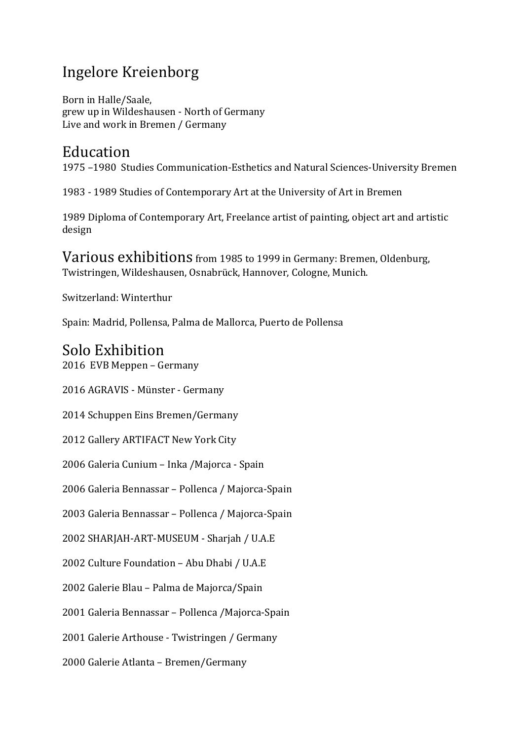## Ingelore Kreienborg

Born in Halle/Saale, grew up in Wildeshausen - North of Germany Live and work in Bremen / Germany

## Education

1975-1980 Studies Communication-Esthetics and Natural Sciences-University Bremen

1983 - 1989 Studies of Contemporary Art at the University of Art in Bremen

1989 Diploma of Contemporary Art, Freelance artist of painting, object art and artistic design 

Various exhibitions from 1985 to 1999 in Germany: Bremen, Oldenburg, Twistringen, Wildeshausen, Osnabrück, Hannover, Cologne, Munich.

Switzerland: Winterthur

Spain: Madrid, Pollensa, Palma de Mallorca, Puerto de Pollensa

## Solo Exhibition

2016 EVB Meppen – Germany

2016 AGRAVIS - Münster - Germany

2014 Schuppen Eins Bremen/Germany 

2012 Gallery ARTIFACT New York City

2006 Galeria Cunium – Inka /Majorca - Spain

2006 Galeria Bennassar – Pollenca / Majorca-Spain

2003 Galeria Bennassar - Pollenca / Majorca-Spain

2002 SHARJAH-ART-MUSEUM - Sharjah / U.A.E

2002 Culture Foundation - Abu Dhabi / U.A.E

2002 Galerie Blau – Palma de Majorca/Spain

2001 Galeria Bennassar - Pollenca /Majorca-Spain

2001 Galerie Arthouse - Twistringen / Germany

2000 Galerie Atlanta - Bremen/Germany